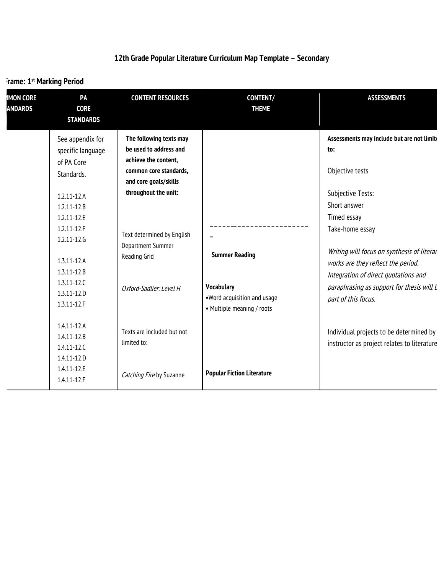## **12th Grade Popular Literature Curriculum Map Template – Secondary**

## **Trame: 1st Marking Period**

| <b>IMON CORE</b><br><b>ANDARDS</b> | PA<br><b>CORE</b><br><b>STANDARDS</b>                                                                                                                                                                                                                       | <b>CONTENT RESOURCES</b>                                                                                                                                                                                                                                  | <b>CONTENT/</b><br><b>THEME</b>                                                                  | <b>ASSESSMENTS</b>                                                                                                                                                                                                                                                                                                                                 |
|------------------------------------|-------------------------------------------------------------------------------------------------------------------------------------------------------------------------------------------------------------------------------------------------------------|-----------------------------------------------------------------------------------------------------------------------------------------------------------------------------------------------------------------------------------------------------------|--------------------------------------------------------------------------------------------------|----------------------------------------------------------------------------------------------------------------------------------------------------------------------------------------------------------------------------------------------------------------------------------------------------------------------------------------------------|
|                                    | See appendix for<br>specific language<br>of PA Core<br>Standards.<br>$1.2.11 - 12.A$<br>$1.2.11 - 12.8$<br>1.2.11-12.E<br>$1.2.11 - 12.F$<br>$1.2.11 - 12.6$<br>$1.3.11 - 12.A$<br>$1.3.11 - 12.B$<br>$1.3.11 - 12.0$<br>$1.3.11 - 12.0$<br>$1.3.11 - 12.F$ | The following texts may<br>be used to address and<br>achieve the content,<br>common core standards,<br>and core goals/skills<br>throughout the unit:<br>Text determined by English<br><b>Department Summer</b><br>Reading Grid<br>Oxford-Sadlier: Level H | <b>Summer Reading</b><br>Vocabulary<br>.Word acquisition and usage<br>• Multiple meaning / roots | Assessments may include but are not limite<br>to:<br>Objective tests<br>Subjective Tests:<br>Short answer<br>Timed essay<br>Take-home essay<br>Writing will focus on synthesis of literar<br>works are they reflect the period.<br>Integration of direct quotations and<br>paraphrasing as support for thesis will <i>t</i><br>part of this focus. |
|                                    | $1.4.11 - 12.A$<br>$1.4.11 - 12.B$<br>$1.4.11 - 12.0$<br>$1.4.11 - 12.0$<br>1.4.11-12.E<br>1.4.11-12.F                                                                                                                                                      | Texts are included but not<br>limited to:<br>Catching Fire by Suzanne                                                                                                                                                                                     | <b>Popular Fiction Literature</b>                                                                | Individual projects to be determined by<br>instructor as project relates to literature                                                                                                                                                                                                                                                             |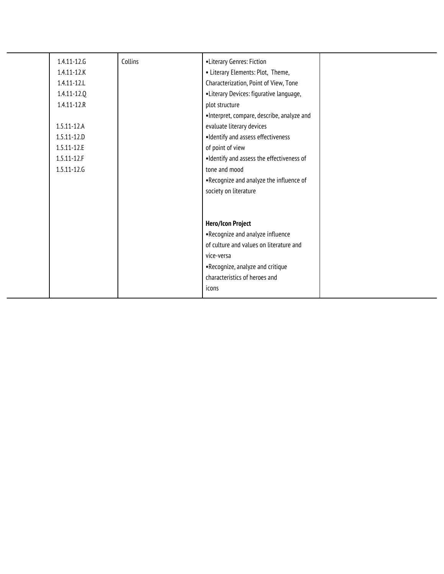| 1.4.11-12.6<br>$1.4.11 - 12.K$<br>$1.4.11 - 12.1$<br>1.4.11-12.Q<br>$1.4.11 - 12.R$<br>$1.5.11 - 12.A$<br>$1.5.11 - 12.0$<br>1.5.11-12.E<br>$1.5.11 - 12.F$<br>1.5.11-12.6 | Collins | •Literary Genres: Fiction<br>• Literary Elements: Plot, Theme,<br>Characterization, Point of View, Tone<br>•Literary Devices: figurative language,<br>plot structure<br>·Interpret, compare, describe, analyze and<br>evaluate literary devices<br>•Identify and assess effectiveness<br>of point of view<br>. Identify and assess the effectiveness of<br>tone and mood<br>.Recognize and analyze the influence of<br>society on literature |  |
|----------------------------------------------------------------------------------------------------------------------------------------------------------------------------|---------|----------------------------------------------------------------------------------------------------------------------------------------------------------------------------------------------------------------------------------------------------------------------------------------------------------------------------------------------------------------------------------------------------------------------------------------------|--|
|                                                                                                                                                                            |         | <b>Hero/Icon Project</b><br>.Recognize and analyze influence<br>of culture and values on literature and<br>vice-versa<br>.Recognize, analyze and critique<br>characteristics of heroes and<br>icons                                                                                                                                                                                                                                          |  |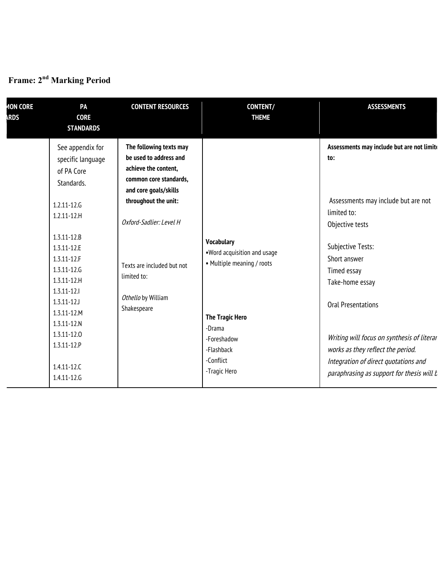## **Time Frame: 2nd Marking Period**

| <b>MON CORE</b><br><b>ARDS</b> | PA<br><b>CORE</b><br><b>STANDARDS</b>                                                                                                                                                                                                                 | <b>CONTENT RESOURCES</b>                                                                                                                                                                                                                                          | CONTENT/<br><b>THEME</b>                                                                                 | <b>ASSESSMENTS</b>                                                                                                                                                                                                             |
|--------------------------------|-------------------------------------------------------------------------------------------------------------------------------------------------------------------------------------------------------------------------------------------------------|-------------------------------------------------------------------------------------------------------------------------------------------------------------------------------------------------------------------------------------------------------------------|----------------------------------------------------------------------------------------------------------|--------------------------------------------------------------------------------------------------------------------------------------------------------------------------------------------------------------------------------|
|                                | See appendix for<br>specific language<br>of PA Core<br>Standards.<br>$1.2.11 - 12.6$<br>$1.2.11 - 12.H$<br>$1.3.11 - 12.8$<br>1.3.11-12.E<br>$1.3.11 - 12.F$<br>1.3.11-12.6<br>$1.3.11 - 12.H$<br>$1.3.11 - 12.1$<br>$1.3.11 - 12$<br>$1.3.11 - 12.M$ | The following texts may<br>be used to address and<br>achieve the content,<br>common core standards,<br>and core goals/skills<br>throughout the unit:<br>Oxford-Sadlier: Level H<br>Texts are included but not<br>limited to:<br>Othello by William<br>Shakespeare | <b>Vocabulary</b><br>.Word acquisition and usage<br>• Multiple meaning / roots<br><b>The Tragic Hero</b> | Assessments may include but are not limite<br>to:<br>Assessments may include but are not<br>limited to:<br>Objective tests<br>Subjective Tests:<br>Short answer<br>Timed essay<br>Take-home essay<br><b>Oral Presentations</b> |
|                                | $1.3.11 - 12.N$<br>1.3.11-12.0<br>1.3.11-12.P<br>$1.4.11 - 12.0$<br>1.4.11-12.6                                                                                                                                                                       |                                                                                                                                                                                                                                                                   | -Drama<br>-Foreshadow<br>-Flashback<br>-Conflict<br>-Tragic Hero                                         | Writing will focus on synthesis of literar<br>works as they reflect the period.<br>Integration of direct quotations and<br>paraphrasing as support for thesis will b                                                           |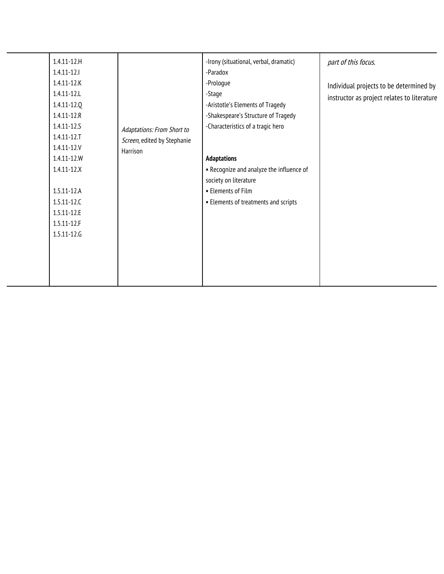| $1.4.11 - 12.H$<br>$1.4.11 - 12.1$<br>$1.4.11 - 12.K$<br>$1.4.11 - 12.1$<br>1.4.11-12.Q<br>$1.4.11 - 12.R$<br>$1.4.11 - 12.5$<br>$1.4.11 - 12.7$<br>$1.4.11 - 12. V$<br>1.4.11-12.W<br>$1.4.11 - 12.X$<br>$1.5.11 - 12.A$<br>$1.5.11 - 12.0$<br>$1.5.11 - 12.E$<br>$1.5.11 - 12.F$<br>1.5.11-12.6 | Adaptations: From Short to<br>Screen, edited by Stephanie<br>Harrison | -Irony (situational, verbal, dramatic)<br>-Paradox<br>-Prologue<br>-Stage<br>-Aristotle's Elements of Tragedy<br>-Shakespeare's Structure of Tragedy<br>-Characteristics of a tragic hero<br><b>Adaptations</b><br>• Recognize and analyze the influence of<br>society on literature<br>• Elements of Film<br>• Elements of treatments and scripts | part of this focus.<br>Individual projects to be determined by<br>instructor as project relates to literature |
|---------------------------------------------------------------------------------------------------------------------------------------------------------------------------------------------------------------------------------------------------------------------------------------------------|-----------------------------------------------------------------------|----------------------------------------------------------------------------------------------------------------------------------------------------------------------------------------------------------------------------------------------------------------------------------------------------------------------------------------------------|---------------------------------------------------------------------------------------------------------------|
|                                                                                                                                                                                                                                                                                                   |                                                                       |                                                                                                                                                                                                                                                                                                                                                    |                                                                                                               |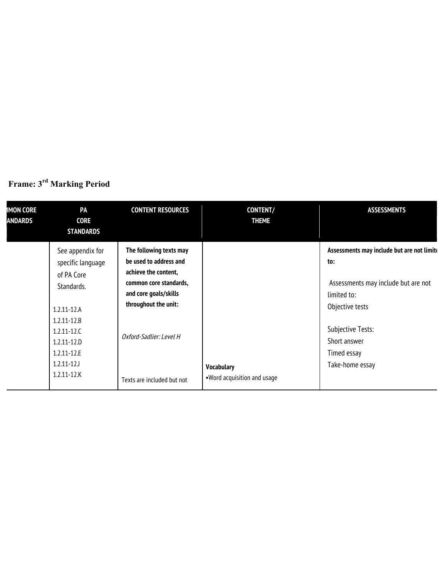| <b>IMON CORE</b><br><b>ANDARDS</b> | PA<br><b>CORE</b><br><b>STANDARDS</b>                                                                                                                                                                | <b>CONTENT RESOURCES</b>                                                                                                                                                                                      | <b>CONTENT/</b><br><b>THEME</b>                   | <b>ASSESSMENTS</b>                                                                                                                                                                                |
|------------------------------------|------------------------------------------------------------------------------------------------------------------------------------------------------------------------------------------------------|---------------------------------------------------------------------------------------------------------------------------------------------------------------------------------------------------------------|---------------------------------------------------|---------------------------------------------------------------------------------------------------------------------------------------------------------------------------------------------------|
|                                    | See appendix for<br>specific language<br>of PA Core<br>Standards.<br>$1.2.11 - 12.A$<br>$1.2.11 - 12.B$<br>$1.2.11 - 12.0$<br>$1.2.11 - 12.0$<br>$1.2.11 - 12.E$<br>$1.2.11 - 12$<br>$1.2.11 - 12.K$ | The following texts may<br>be used to address and<br>achieve the content,<br>common core standards,<br>and core goals/skills<br>throughout the unit:<br>Oxford-Sadlier: Level H<br>Texts are included but not | <b>Vocabulary</b><br>. Word acquisition and usage | Assessments may include but are not limite<br>to:<br>Assessments may include but are not<br>limited to:<br>Objective tests<br>Subjective Tests:<br>Short answer<br>Timed essay<br>Take-home essay |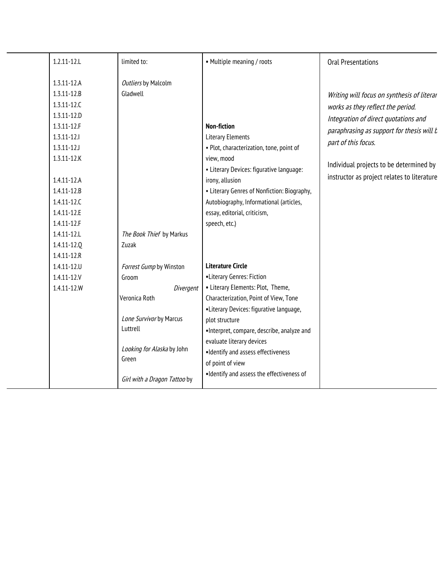| $1.2.11 - 12.1$                                                                                                                                                        | limited to:                                                    | • Multiple meaning / roots                                                                                                                                              | <b>Oral Presentations</b>                                                                                                                                                                                                                                                             |
|------------------------------------------------------------------------------------------------------------------------------------------------------------------------|----------------------------------------------------------------|-------------------------------------------------------------------------------------------------------------------------------------------------------------------------|---------------------------------------------------------------------------------------------------------------------------------------------------------------------------------------------------------------------------------------------------------------------------------------|
| $1.3.11 - 12.A$<br>$1.3.11 - 12.8$<br>$1.3.11 - 12.0$<br>$1.3.11 - 12.0$<br>$1.3.11 - 12.F$<br>$1.3.11 - 12.1$<br>$1.3.11 - 12J$<br>$1.3.11 - 12.K$<br>$1.4.11 - 12.A$ | Outliers by Malcolm<br>Gladwell                                | <b>Non-fiction</b><br><b>Literary Elements</b><br>· Plot, characterization, tone, point of<br>view, mood<br>• Literary Devices: figurative language:<br>irony, allusion | Writing will focus on synthesis of literar<br>works as they reflect the period.<br>Integration of direct quotations and<br>paraphrasing as support for thesis will b<br>part of this focus.<br>Individual projects to be determined by<br>instructor as project relates to literature |
| $1.4.11 - 12.8$<br>1.4.11-12.C<br>1.4.11-12.E                                                                                                                          |                                                                | • Literary Genres of Nonfiction: Biography,<br>Autobiography, Informational (articles,<br>essay, editorial, criticism,                                                  |                                                                                                                                                                                                                                                                                       |
| $1.4.11 - 12.F$<br>1.4.11-12.L<br>1.4.11-12.0                                                                                                                          | The Book Thief by Markus<br>Zuzak                              | speech, etc.)                                                                                                                                                           |                                                                                                                                                                                                                                                                                       |
| $1.4.11 - 12.R$<br>$1.4.11 - 12.0$<br>$1.4.11 - 12.1$<br>1.4.11-12.W                                                                                                   | Forrest Gump by Winston<br>Groom<br>Divergent<br>Veronica Roth | <b>Literature Circle</b><br>•Literary Genres: Fiction<br>• Literary Elements: Plot, Theme,<br>Characterization, Point of View, Tone                                     |                                                                                                                                                                                                                                                                                       |
|                                                                                                                                                                        | Lone Survivor by Marcus<br>Luttrell                            | •Literary Devices: figurative language,<br>plot structure<br>·Interpret, compare, describe, analyze and<br>evaluate literary devices                                    |                                                                                                                                                                                                                                                                                       |
|                                                                                                                                                                        | Looking for Alaska by John<br>Green                            | ·Identify and assess effectiveness<br>of point of view<br>. Identify and assess the effectiveness of                                                                    |                                                                                                                                                                                                                                                                                       |
|                                                                                                                                                                        | Girl with a Dragon Tattoo by                                   |                                                                                                                                                                         |                                                                                                                                                                                                                                                                                       |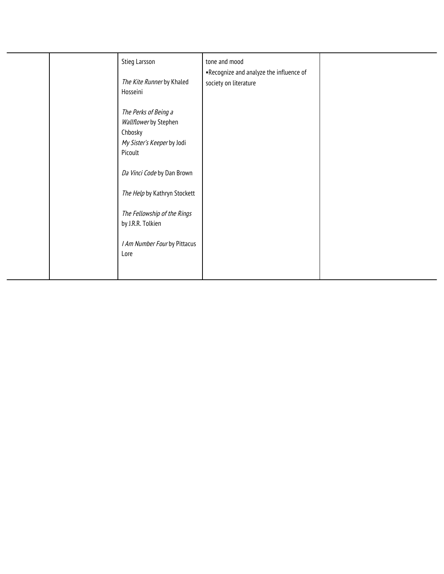| Stieg Larsson<br>The Kite Runner by Khaled<br>Hosseini                                            | tone and mood<br>.Recognize and analyze the influence of<br>society on literature |  |
|---------------------------------------------------------------------------------------------------|-----------------------------------------------------------------------------------|--|
| The Perks of Being a<br>Wallflower by Stephen<br>Chbosky<br>My Sister's Keeper by Jodi<br>Picoult |                                                                                   |  |
| Da Vinci Code by Dan Brown                                                                        |                                                                                   |  |
| The Help by Kathryn Stockett                                                                      |                                                                                   |  |
| The Fellowship of the Rings<br>by J.R.R. Tolkien                                                  |                                                                                   |  |
| I Am Number Four by Pittacus<br>Lore                                                              |                                                                                   |  |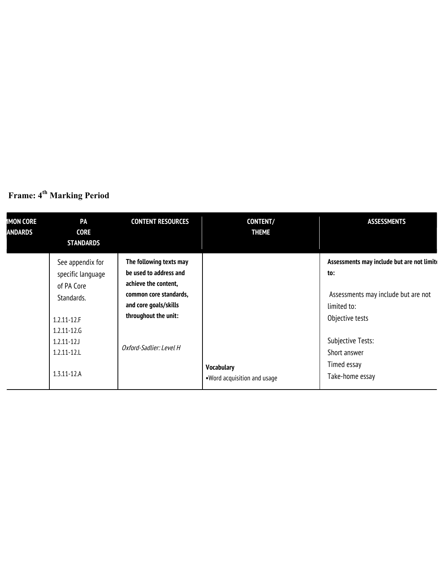| Frame: 4 <sup>th</sup> Marking Period |  |  |
|---------------------------------------|--|--|

| <b>IMON CORE</b><br><b>ANDARDS</b> | PA<br><b>CORE</b><br><b>STANDARDS</b>                                                                                                                          | <b>CONTENT RESOURCES</b>                                                                                                                                                        | <b>CONTENT/</b><br><b>THEME</b>                   | <b>ASSESSMENTS</b>                                                                                                                                                                                       |
|------------------------------------|----------------------------------------------------------------------------------------------------------------------------------------------------------------|---------------------------------------------------------------------------------------------------------------------------------------------------------------------------------|---------------------------------------------------|----------------------------------------------------------------------------------------------------------------------------------------------------------------------------------------------------------|
|                                    | See appendix for<br>specific language<br>of PA Core<br>Standards.<br>$1.2.11 - 12.F$<br>$1.2.11 - 12.6$<br>$1.2.11 - 12$<br>$1.2.11 - 12.1$<br>$1.3.11 - 12.A$ | The following texts may<br>be used to address and<br>achieve the content,<br>common core standards,<br>and core goals/skills<br>throughout the unit:<br>Oxford-Sadlier: Level H | <b>Vocabulary</b><br>. Word acquisition and usage | Assessments may include but are not limite<br>to:<br>Assessments may include but are not<br>limited to:<br>Objective tests<br><b>Subjective Tests:</b><br>Short answer<br>Timed essay<br>Take-home essay |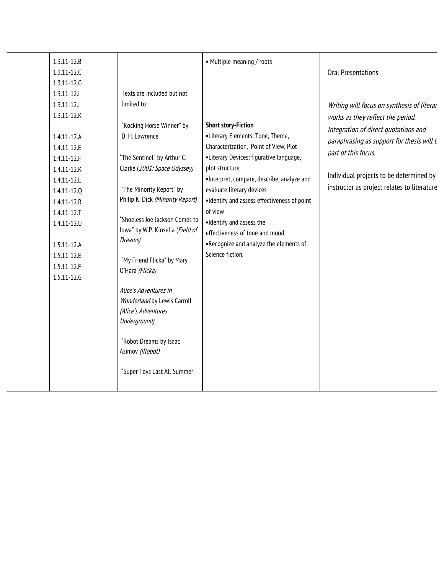| $1.3.11 - 12.8$ |                                  | • Multiple meaning / roots                   |                                             |
|-----------------|----------------------------------|----------------------------------------------|---------------------------------------------|
| $1.3.11 - 12.C$ |                                  |                                              | <b>Oral Presentations</b>                   |
| 1.3.11-12.6     |                                  |                                              |                                             |
| $1.3.11 - 12.1$ | Texts are included but not       |                                              |                                             |
| $1.3.11 - 12$   | limited to:                      |                                              | Writing will focus on synthesis of literar  |
| $1.3.11 - 12.K$ |                                  |                                              | works as they reflect the period.           |
|                 | "Rocking Horse Winner" by        | <b>Short story-Fiction</b>                   | Integration of direct quotations and        |
| 1.4.11-12.A     | D. H. Lawrence                   | •Literary Elements: Tone, Theme,             | paraphrasing as support for thesis will b   |
| 1.4.11-12.E     |                                  | Characterization, Point of View, Plot        |                                             |
| 1.4.11-12.F     | "The Sentinel" by Arthur C.      | •Literary Devices: figurative language,      | part of this focus.                         |
| 1.4.11-12.K     | Clarke (2001: Space Odyssey)     | plot structure                               |                                             |
| 1.4.11-12.L     |                                  | ·Interpret, compare, describe, analyze and   | Individual projects to be determined by     |
| 1.4.11-12.0     | "The Minority Report" by         | evaluate literary devices                    | instructor as project relates to literature |
| $1.4.11 - 12.R$ | Philip K. Dick (Minority Report) | . Identify and assess effectiveness of point |                                             |
| $1.4.11 - 12.7$ |                                  | of view                                      |                                             |
| $1.4.11 - 12.0$ | "Shoeless Joe Jackson Comes to   | . Identify and assess the                    |                                             |
|                 | lowa" by W.P. Kinsella (Field of | effectiveness of tone and mood               |                                             |
| $1.5.11 - 12.A$ | Dreams)                          | .Recognize and analyze the elements of       |                                             |
| 1.5.11-12.E     | "My Friend Flicka" by Mary       | Science fiction.                             |                                             |
| $1.5.11 - 12.F$ | O'Hara (Flicka)                  |                                              |                                             |
| 1.5.11-12.6     |                                  |                                              |                                             |
|                 | Alice's Adventures in            |                                              |                                             |
|                 | Wonderland by Lewis Carroll      |                                              |                                             |
|                 | (Alice's Adventures              |                                              |                                             |
|                 | Underground)                     |                                              |                                             |
|                 |                                  |                                              |                                             |
|                 | "Robot Dreams by Isaac           |                                              |                                             |
|                 | Asimov (IRobot)                  |                                              |                                             |
|                 |                                  |                                              |                                             |
|                 | "Super Toys Last All Summer      |                                              |                                             |
|                 |                                  |                                              |                                             |